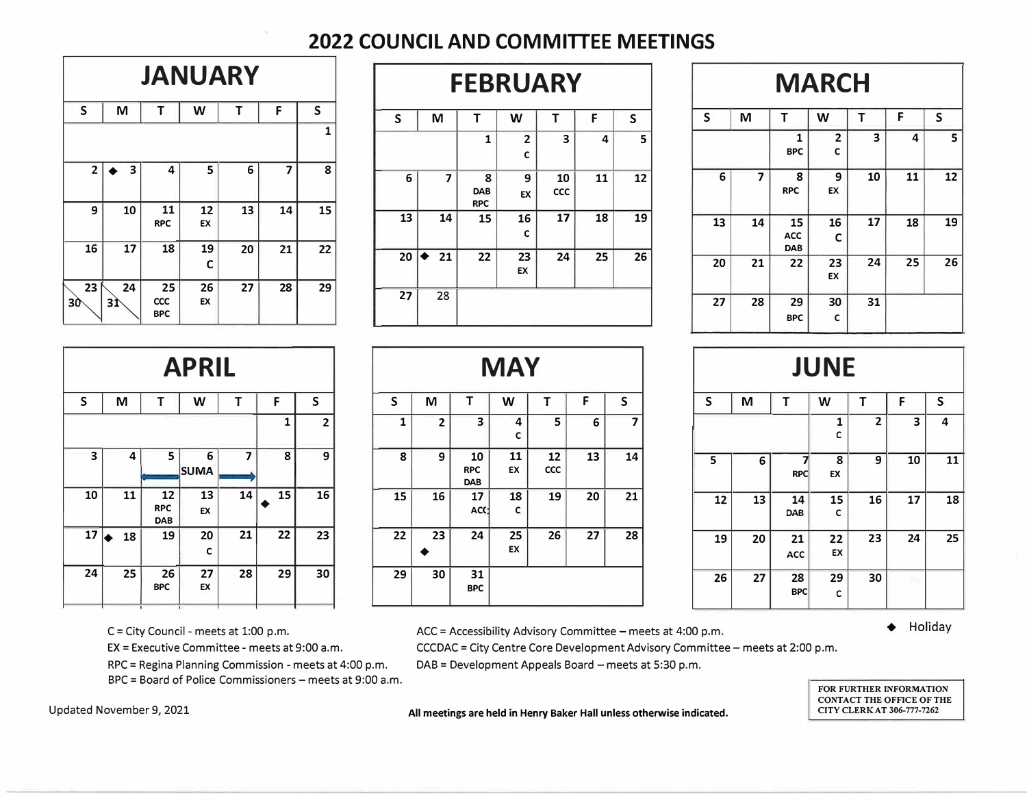## **2022 COUNCIL AND COMMITTEE MEETINGS**

| <b>JANUARY</b>                                                   |          |                         |          |    |    |              |  |  |  |  |  |  |
|------------------------------------------------------------------|----------|-------------------------|----------|----|----|--------------|--|--|--|--|--|--|
| $\sf S$                                                          | M        | Τ                       | W        | Т  | F  | $\mathsf{S}$ |  |  |  |  |  |  |
| $\mathbf{1}$                                                     |          |                         |          |    |    |              |  |  |  |  |  |  |
| $\overline{\mathbf{3}}$<br>7<br>$\mathbf{2}$<br>4<br>5<br>6<br>8 |          |                         |          |    |    |              |  |  |  |  |  |  |
| 9                                                                | 10       | 11<br><b>RPC</b>        | 12<br>EX | 13 | 14 | 15           |  |  |  |  |  |  |
| 16                                                               | 17       | 18                      | 19<br>C  | 20 | 21 | 22           |  |  |  |  |  |  |
| 23<br>3Ò                                                         | 24<br>3Ì | 25<br>CCC<br><b>BPC</b> | 26<br>EX | 27 | 28 | 29           |  |  |  |  |  |  |

|    | <b>JANUARY</b> |                                |          |    |    | <b>MARCH</b><br><b>FEBRUARY</b> |    |    |                        |          |           |    |    |  |    |    |                  |                     |    |    |    |
|----|----------------|--------------------------------|----------|----|----|---------------------------------|----|----|------------------------|----------|-----------|----|----|--|----|----|------------------|---------------------|----|----|----|
| ς  | M              |                                | W        |    | F  | S                               | S  | M  |                        | W        |           | F  | S  |  | S  | M  |                  | W                   |    |    | S  |
|    |                |                                |          |    |    |                                 |    |    |                        | 2        | 3         | 4  | 5. |  |    |    | <b>BPC</b>       | $\overline{2}$<br>C | 3  | 4  | 5  |
|    | 3              | 4                              | 5.       | 6  | 7  | 8                               | 6  |    | 8<br>DAB<br><b>RPC</b> | 9<br>EX  | 10<br>CCC | 11 | 12 |  | 6  | ¬  | 8<br><b>RPC</b>  | 9<br>EX             | 10 | 11 | 12 |
| 9  | 10             | 11<br><b>RPC</b>               | 12<br>EX | 13 | 14 | 15                              | 13 | 14 | 15                     | 16       | 17        | 18 | 19 |  | 13 | 14 | 15<br><b>ACC</b> | 16<br>C             | 17 | 18 | 19 |
| 16 | 17             | 18                             | 19<br>C  | 20 | 21 | 22                              | 20 | 21 | 22                     | 23<br>EX | 24        | 25 | 26 |  | 20 | 21 | <b>DAB</b><br>22 | 23<br>EX            | 24 | 25 | 26 |
| 23 | 24<br>31       | 25<br><b>CCC</b><br><b>BPC</b> | 26<br>EX | 27 | 28 | 29                              | 27 | 28 |                        |          |           |    |    |  | 27 | 28 | 29<br><b>BPC</b> | 30<br>C             | 31 |    |    |

|    |    | <b>FEBRUARY</b>        |                     |                  |    |    |    |    |                                | <b>MARCH</b> |    |    |    |
|----|----|------------------------|---------------------|------------------|----|----|----|----|--------------------------------|--------------|----|----|----|
|    | M  | т                      | W                   | т                | F  | S  | S  | M  | Т                              | W            | Т  | F  | S  |
|    |    | $\mathbf{1}$           | $\overline{2}$<br>C | 3                | 4  | 5  |    |    | 1<br><b>BPC</b>                | 2<br>C       | 3  | 4  | 5  |
| 6  | 7  | 8<br>DAB<br><b>RPC</b> | 9<br>EX             | 10<br><b>CCC</b> | 11 | 12 | 6  | 7  | 8<br><b>RPC</b>                | 9<br>EX      | 10 | 11 | 12 |
| 13 | 14 | 15                     | 16<br>C             | 17               | 18 | 19 | 13 | 14 | 15<br><b>ACC</b><br><b>DAB</b> | 16<br>C      | 17 | 18 | 19 |
| 20 | 21 | 22                     | 23<br>EX            | 24               | 25 | 26 | 20 | 21 | 22                             | 23<br>EX     | 24 | 25 | 26 |
| 27 | 28 |                        |                     |                  |    |    | 27 | 28 | 29<br><b>BPC</b>               | 30<br>c      | 31 |    |    |

|             | <b>APRIL</b>               |                         |                  |    |    |    |  |  |  |  |  |  |  |  |
|-------------|----------------------------|-------------------------|------------------|----|----|----|--|--|--|--|--|--|--|--|
| $\mathsf S$ | S<br>M<br>Т<br>T<br>W<br>F |                         |                  |    |    |    |  |  |  |  |  |  |  |  |
|             | $\mathbf{2}$<br>1          |                         |                  |    |    |    |  |  |  |  |  |  |  |  |
| 3           | 4                          | 5                       | 6<br><b>SUMA</b> | 7  | 8  | 9  |  |  |  |  |  |  |  |  |
| 10          | 11                         | 12<br><b>RPC</b><br>DAB | 13<br>EX         | 14 | 15 | 16 |  |  |  |  |  |  |  |  |
| 17          | 18                         | 19                      | 20<br>c          | 21 | 22 | 23 |  |  |  |  |  |  |  |  |
| 24          | 25                         | 26<br><b>BPC</b>        | 27<br>EX         | 28 | 29 | 30 |  |  |  |  |  |  |  |  |
|             |                            |                         |                  |    |    |    |  |  |  |  |  |  |  |  |

BPC = Board of Police Commissioners - meets at 9:00 a.m.

|              | <b>APRIL</b> |                                |                  |    |    |                | <b>MAY</b> |                 |                         |          |                  |    |    |  | <b>JUNE</b> |    |                  |          |                |                         |    |
|--------------|--------------|--------------------------------|------------------|----|----|----------------|------------|-----------------|-------------------------|----------|------------------|----|----|--|-------------|----|------------------|----------|----------------|-------------------------|----|
| S.           | M            |                                | W                |    | F  | S              | S          | M               |                         | W        |                  |    | S  |  | S           | M  |                  | W        |                |                         | S  |
|              |              |                                |                  |    |    | $\overline{2}$ |            | $\overline{2}$  | 3                       | 4<br>c   | 5                | 6  | 7  |  |             |    |                  |          | $\overline{2}$ | $\overline{\mathbf{3}}$ | 4  |
| $\mathbf{3}$ |              | 5<br>4                         | 6<br><b>SUMA</b> |    | 8  | 9              | 8          | 9               | 10<br><b>RPC</b><br>DAB | 11<br>EX | 12<br><b>CCC</b> | 13 | 14 |  | 5           | 6  | <b>RPC</b>       | 8<br>EX  | 9              | 10                      | 11 |
| 10           | 11           | 12<br><b>RPC</b><br><b>DAB</b> | 13<br>EX         | 14 | 15 | 16             | 15         | 16 <sup>1</sup> | 17<br>ACC               | 18<br>C  | 19               | 20 | 21 |  | 12          | 13 | 14<br>DAB        | 15<br>c  | 16             | 17                      | 18 |
| $17 \bullet$ | 18           | 19                             | 20<br>C          | 21 | 22 | 23             | 22         | 23              | 24                      | 25<br>EX | 26               | 27 | 28 |  | 19          | 20 | 21<br><b>ACC</b> | 22<br>EX | 23             | 24                      | 25 |
| 24           | 25           | 26<br><b>BPC</b>               | 27<br>EX         | 28 | 29 | 30             | 29         | 30 <sup>1</sup> | 31<br><b>BPC</b>        |          |                  |    |    |  | 26          | 27 | 28<br><b>BPC</b> | 29<br>c  | 30             |                         |    |

| <b>SY</b>         |           |    |           |   |    | <b>JUNE</b> |                  |          |                |    |    |  |  |
|-------------------|-----------|----|-----------|---|----|-------------|------------------|----------|----------------|----|----|--|--|
|                   | Т         | F  | ${\sf S}$ | S |    | M           | Т                | W        | T              | F  | S  |  |  |
| 4<br>C            | 5         | 6  | 7         |   |    |             |                  | 1<br>с   | $\overline{2}$ | 3  | 4  |  |  |
| $\mathbf{1}$<br>ĸ | 12<br>CCC | 13 | 14        | 5 |    | 6           | <b>RPC</b>       | 8<br>EX  | 9              | 10 | 11 |  |  |
| 8<br>C            | 19        | 20 | 21        |   | 12 | 13          | 14<br>DAB        | 15<br>c  | 16             | 17 | 18 |  |  |
| 5<br>ĸ            | 26        | 27 | 28        |   | 19 | 20          | 21<br>ACC        | 22<br>EX | 23             | 24 | 25 |  |  |
|                   |           |    |           |   | 26 | 27          | 28<br><b>BPC</b> | 29<br>c  | 30             | m  |    |  |  |

C = City Council - meets at 1:00 p.m. **♦** ACC = Accessibility Advisory Committee – meets at 4:00 p.m. ♦ Holiday

EX= Executive Committee - meets at 9:00 a.m. CCCDAC = City Centre Core Development Advisory Committee - meets at 2:00 p.m.

RPC = Regina Planning Commission - meets at 4:00 p.m. DAB = Development Appeals Board - meets at 5:30 p.m.

**FOR FURTHER INFORMATION CONTACT THE OFFICE OF THE CITY CLERK AT 306-777-7262** 

Updated November 9, 2021 **All meetings are held in Henry Baker Hall unless otherwise indicated.**